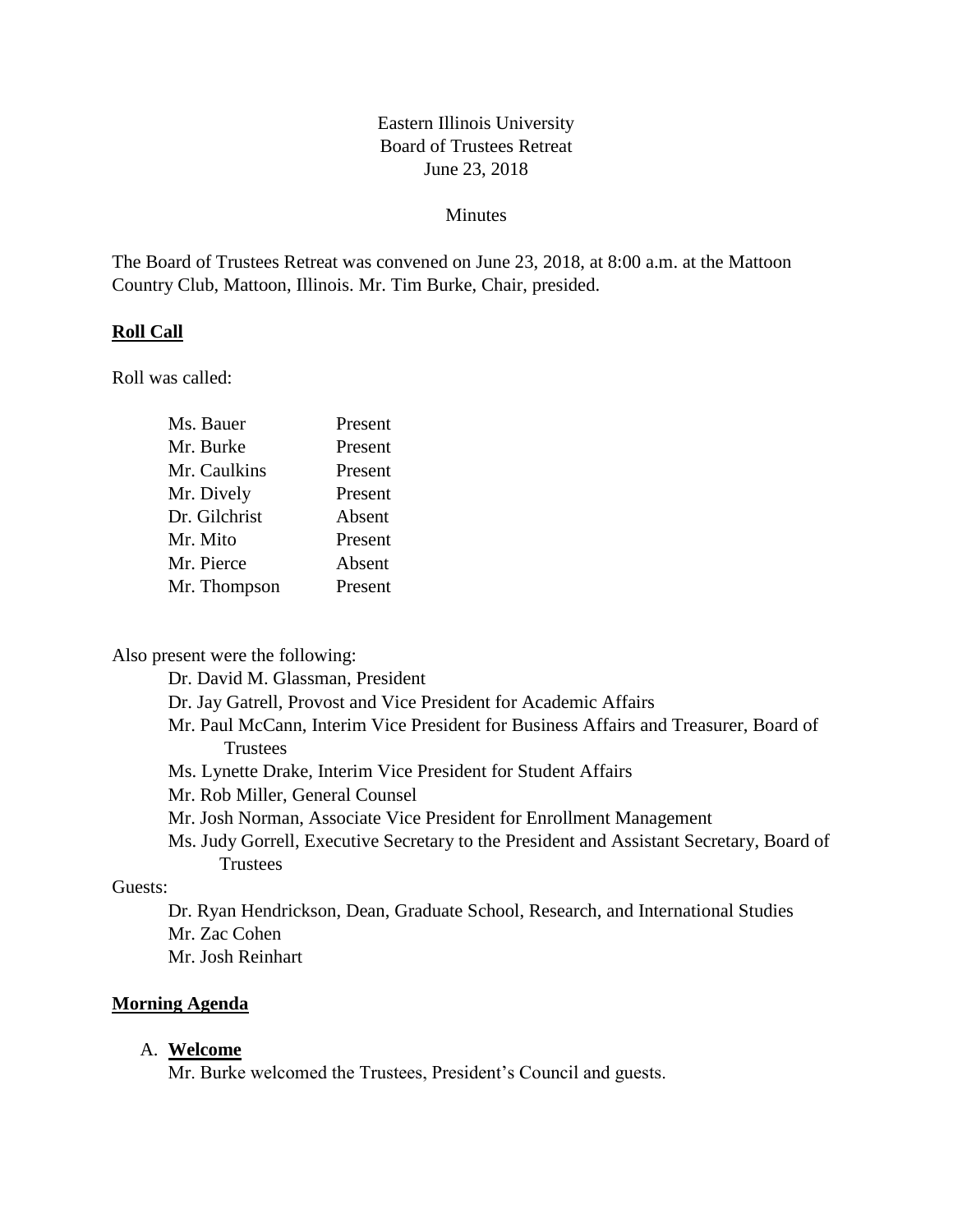## Eastern Illinois University Board of Trustees Retreat June 23, 2018

#### Minutes

The Board of Trustees Retreat was convened on June 23, 2018, at 8:00 a.m. at the Mattoon Country Club, Mattoon, Illinois. Mr. Tim Burke, Chair, presided.

#### **Roll Call**

Roll was called:

| Ms. Bauer     | Present |
|---------------|---------|
| Mr. Burke     | Present |
| Mr. Caulkins  | Present |
| Mr. Dively    | Present |
| Dr. Gilchrist | Absent  |
| Mr. Mito      | Present |
| Mr. Pierce    | Absent  |
| Mr. Thompson  | Present |
|               |         |

Also present were the following:

Dr. David M. Glassman, President

Dr. Jay Gatrell, Provost and Vice President for Academic Affairs

- Mr. Paul McCann, Interim Vice President for Business Affairs and Treasurer, Board of **Trustees**
- Ms. Lynette Drake, Interim Vice President for Student Affairs
- Mr. Rob Miller, General Counsel
- Mr. Josh Norman, Associate Vice President for Enrollment Management
- Ms. Judy Gorrell, Executive Secretary to the President and Assistant Secretary, Board of **Trustees**

#### Guests:

Dr. Ryan Hendrickson, Dean, Graduate School, Research, and International Studies Mr. Zac Cohen

Mr. Josh Reinhart

#### **Morning Agenda**

#### A. **Welcome**

Mr. Burke welcomed the Trustees, President's Council and guests.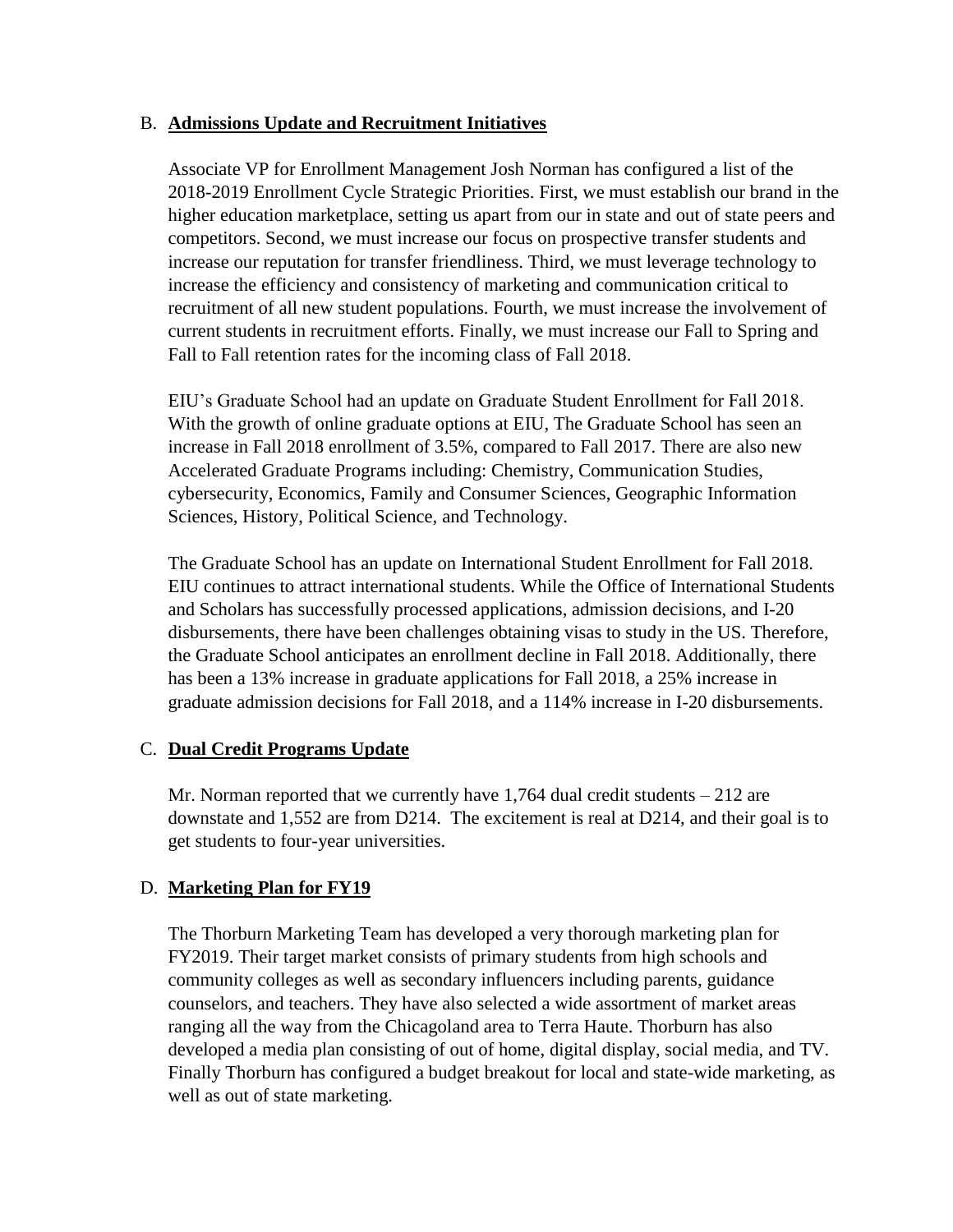#### B. **Admissions Update and Recruitment Initiatives**

Associate VP for Enrollment Management Josh Norman has configured a list of the 2018-2019 Enrollment Cycle Strategic Priorities. First, we must establish our brand in the higher education marketplace, setting us apart from our in state and out of state peers and competitors. Second, we must increase our focus on prospective transfer students and increase our reputation for transfer friendliness. Third, we must leverage technology to increase the efficiency and consistency of marketing and communication critical to recruitment of all new student populations. Fourth, we must increase the involvement of current students in recruitment efforts. Finally, we must increase our Fall to Spring and Fall to Fall retention rates for the incoming class of Fall 2018.

EIU's Graduate School had an update on Graduate Student Enrollment for Fall 2018. With the growth of online graduate options at EIU, The Graduate School has seen an increase in Fall 2018 enrollment of 3.5%, compared to Fall 2017. There are also new Accelerated Graduate Programs including: Chemistry, Communication Studies, cybersecurity, Economics, Family and Consumer Sciences, Geographic Information Sciences, History, Political Science, and Technology.

The Graduate School has an update on International Student Enrollment for Fall 2018. EIU continues to attract international students. While the Office of International Students and Scholars has successfully processed applications, admission decisions, and I-20 disbursements, there have been challenges obtaining visas to study in the US. Therefore, the Graduate School anticipates an enrollment decline in Fall 2018. Additionally, there has been a 13% increase in graduate applications for Fall 2018, a 25% increase in graduate admission decisions for Fall 2018, and a 114% increase in I-20 disbursements.

## C. **Dual Credit Programs Update**

Mr. Norman reported that we currently have  $1,764$  dual credit students  $-212$  are downstate and 1,552 are from D214. The excitement is real at D214, and their goal is to get students to four-year universities.

## D. **Marketing Plan for FY19**

The Thorburn Marketing Team has developed a very thorough marketing plan for FY2019. Their target market consists of primary students from high schools and community colleges as well as secondary influencers including parents, guidance counselors, and teachers. They have also selected a wide assortment of market areas ranging all the way from the Chicagoland area to Terra Haute. Thorburn has also developed a media plan consisting of out of home, digital display, social media, and TV. Finally Thorburn has configured a budget breakout for local and state-wide marketing, as well as out of state marketing.